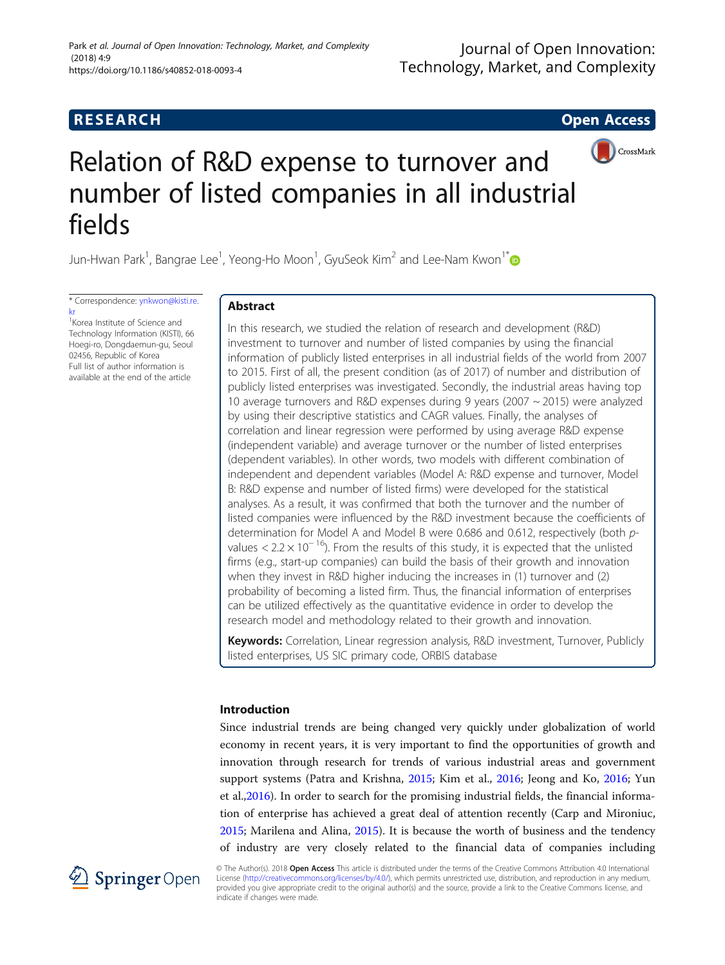## **RESEARCH CHE Open Access**



# Relation of R&D expense to turnover and number of listed companies in all industrial fields

Jun-Hwan Park<sup>1</sup>, Bangrae Lee<sup>1</sup>, Yeong-Ho Moon<sup>1</sup>, GyuSeok Kim<sup>2</sup> and Lee-Nam Kwon<sup>1\*</sup>

\* Correspondence: [ynkwon@kisti.re.](mailto:ynkwon@kisti.re.kr) [kr](mailto:ynkwon@kisti.re.kr)<br><sup>1</sup>Korea Institute of Science and

Technology Information (KISTI), 66 Hoegi-ro, Dongdaemun-gu, Seoul 02456, Republic of Korea Full list of author information is available at the end of the article

## Abstract

In this research, we studied the relation of research and development (R&D) investment to turnover and number of listed companies by using the financial information of publicly listed enterprises in all industrial fields of the world from 2007 to 2015. First of all, the present condition (as of 2017) of number and distribution of publicly listed enterprises was investigated. Secondly, the industrial areas having top 10 average turnovers and R&D expenses during 9 years (2007 ~ 2015) were analyzed by using their descriptive statistics and CAGR values. Finally, the analyses of correlation and linear regression were performed by using average R&D expense (independent variable) and average turnover or the number of listed enterprises (dependent variables). In other words, two models with different combination of independent and dependent variables (Model A: R&D expense and turnover, Model B: R&D expense and number of listed firms) were developed for the statistical analyses. As a result, it was confirmed that both the turnover and the number of listed companies were influenced by the R&D investment because the coefficients of determination for Model A and Model B were 0.686 and 0.612, respectively (both pvalues <  $2.2 \times 10^{-16}$ ). From the results of this study, it is expected that the unlisted firms (e.g., start-up companies) can build the basis of their growth and innovation when they invest in R&D higher inducing the increases in (1) turnover and (2) probability of becoming a listed firm. Thus, the financial information of enterprises can be utilized effectively as the quantitative evidence in order to develop the research model and methodology related to their growth and innovation.

Keywords: Correlation, Linear regression analysis, R&D investment, Turnover, Publicly listed enterprises, US SIC primary code, ORBIS database

## Introduction

Since industrial trends are being changed very quickly under globalization of world economy in recent years, it is very important to find the opportunities of growth and innovation through research for trends of various industrial areas and government support systems (Patra and Krishna, [2015](#page-14-0); Kim et al., [2016;](#page-14-0) Jeong and Ko, [2016;](#page-13-0) Yun et al.[,2016](#page-14-0)). In order to search for the promising industrial fields, the financial information of enterprise has achieved a great deal of attention recently (Carp and Mironiuc, [2015](#page-13-0); Marilena and Alina, [2015](#page-14-0)). It is because the worth of business and the tendency of industry are very closely related to the financial data of companies including



© The Author(s). 2018 Open Access This article is distributed under the terms of the Creative Commons Attribution 4.0 International License [\(http://creativecommons.org/licenses/by/4.0/](http://creativecommons.org/licenses/by/4.0/)), which permits unrestricted use, distribution, and reproduction in any medium, provided you give appropriate credit to the original author(s) and the source, provide a link to the Creative Commons license, and indicate if changes were made.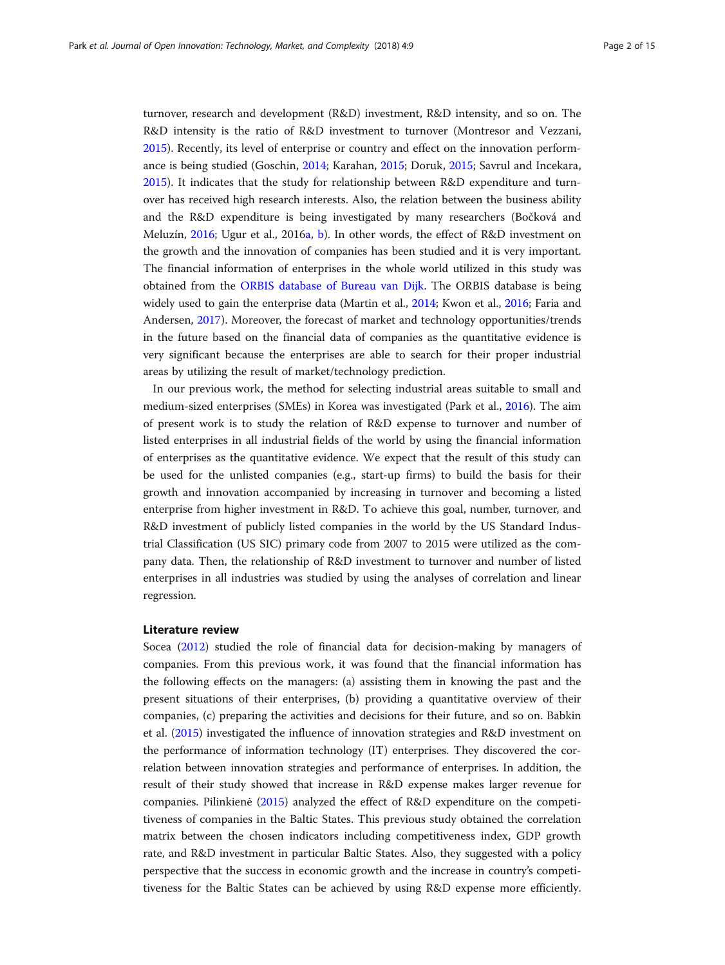turnover, research and development (R&D) investment, R&D intensity, and so on. The R&D intensity is the ratio of R&D investment to turnover (Montresor and Vezzani, [2015](#page-14-0)). Recently, its level of enterprise or country and effect on the innovation performance is being studied (Goschin, [2014](#page-13-0); Karahan, [2015](#page-14-0); Doruk, [2015;](#page-13-0) Savrul and Incekara, [2015](#page-14-0)). It indicates that the study for relationship between R&D expenditure and turnover has received high research interests. Also, the relation between the business ability and the R&D expenditure is being investigated by many researchers (Bočková and Meluzín, [2016](#page-13-0); Ugur et al., 2016[a](#page-14-0), [b](#page-14-0)). In other words, the effect of R&D investment on the growth and the innovation of companies has been studied and it is very important. The financial information of enterprises in the whole world utilized in this study was obtained from the [ORBIS database of Bureau van Dijk](#page-14-0). The ORBIS database is being widely used to gain the enterprise data (Martin et al., [2014](#page-14-0); Kwon et al., [2016;](#page-14-0) Faria and Andersen, [2017\)](#page-13-0). Moreover, the forecast of market and technology opportunities/trends in the future based on the financial data of companies as the quantitative evidence is very significant because the enterprises are able to search for their proper industrial areas by utilizing the result of market/technology prediction.

In our previous work, the method for selecting industrial areas suitable to small and medium-sized enterprises (SMEs) in Korea was investigated (Park et al., [2016](#page-14-0)). The aim of present work is to study the relation of R&D expense to turnover and number of listed enterprises in all industrial fields of the world by using the financial information of enterprises as the quantitative evidence. We expect that the result of this study can be used for the unlisted companies (e.g., start-up firms) to build the basis for their growth and innovation accompanied by increasing in turnover and becoming a listed enterprise from higher investment in R&D. To achieve this goal, number, turnover, and R&D investment of publicly listed companies in the world by the US Standard Industrial Classification (US SIC) primary code from 2007 to 2015 were utilized as the company data. Then, the relationship of R&D investment to turnover and number of listed enterprises in all industries was studied by using the analyses of correlation and linear regression.

## Literature review

Socea ([2012\)](#page-14-0) studied the role of financial data for decision-making by managers of companies. From this previous work, it was found that the financial information has the following effects on the managers: (a) assisting them in knowing the past and the present situations of their enterprises, (b) providing a quantitative overview of their companies, (c) preparing the activities and decisions for their future, and so on. Babkin et al. ([2015\)](#page-13-0) investigated the influence of innovation strategies and R&D investment on the performance of information technology (IT) enterprises. They discovered the correlation between innovation strategies and performance of enterprises. In addition, the result of their study showed that increase in R&D expense makes larger revenue for companies. Pilinkienė [\(2015\)](#page-14-0) analyzed the effect of R&D expenditure on the competitiveness of companies in the Baltic States. This previous study obtained the correlation matrix between the chosen indicators including competitiveness index, GDP growth rate, and R&D investment in particular Baltic States. Also, they suggested with a policy perspective that the success in economic growth and the increase in country's competitiveness for the Baltic States can be achieved by using R&D expense more efficiently.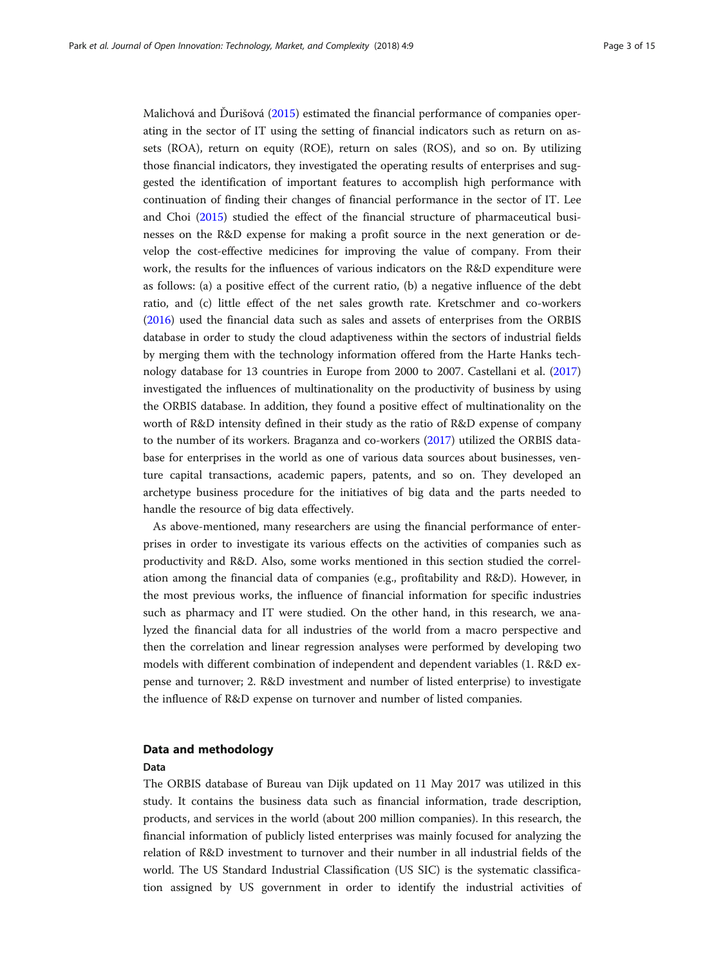Malichová and Ďurišová [\(2015\)](#page-14-0) estimated the financial performance of companies operating in the sector of IT using the setting of financial indicators such as return on assets (ROA), return on equity (ROE), return on sales (ROS), and so on. By utilizing those financial indicators, they investigated the operating results of enterprises and suggested the identification of important features to accomplish high performance with continuation of finding their changes of financial performance in the sector of IT. Lee and Choi [\(2015\)](#page-14-0) studied the effect of the financial structure of pharmaceutical businesses on the R&D expense for making a profit source in the next generation or develop the cost-effective medicines for improving the value of company. From their work, the results for the influences of various indicators on the R&D expenditure were as follows: (a) a positive effect of the current ratio, (b) a negative influence of the debt ratio, and (c) little effect of the net sales growth rate. Kretschmer and co-workers ([2016](#page-13-0)) used the financial data such as sales and assets of enterprises from the ORBIS database in order to study the cloud adaptiveness within the sectors of industrial fields by merging them with the technology information offered from the Harte Hanks technology database for 13 countries in Europe from 2000 to 2007. Castellani et al. ([2017](#page-13-0)) investigated the influences of multinationality on the productivity of business by using the ORBIS database. In addition, they found a positive effect of multinationality on the worth of R&D intensity defined in their study as the ratio of R&D expense of company to the number of its workers. Braganza and co-workers [\(2017\)](#page-13-0) utilized the ORBIS database for enterprises in the world as one of various data sources about businesses, venture capital transactions, academic papers, patents, and so on. They developed an archetype business procedure for the initiatives of big data and the parts needed to handle the resource of big data effectively.

As above-mentioned, many researchers are using the financial performance of enterprises in order to investigate its various effects on the activities of companies such as productivity and R&D. Also, some works mentioned in this section studied the correlation among the financial data of companies (e.g., profitability and R&D). However, in the most previous works, the influence of financial information for specific industries such as pharmacy and IT were studied. On the other hand, in this research, we analyzed the financial data for all industries of the world from a macro perspective and then the correlation and linear regression analyses were performed by developing two models with different combination of independent and dependent variables (1. R&D expense and turnover; 2. R&D investment and number of listed enterprise) to investigate the influence of R&D expense on turnover and number of listed companies.

## Data and methodology

### Data

The ORBIS database of Bureau van Dijk updated on 11 May 2017 was utilized in this study. It contains the business data such as financial information, trade description, products, and services in the world (about 200 million companies). In this research, the financial information of publicly listed enterprises was mainly focused for analyzing the relation of R&D investment to turnover and their number in all industrial fields of the world. The US Standard Industrial Classification (US SIC) is the systematic classification assigned by US government in order to identify the industrial activities of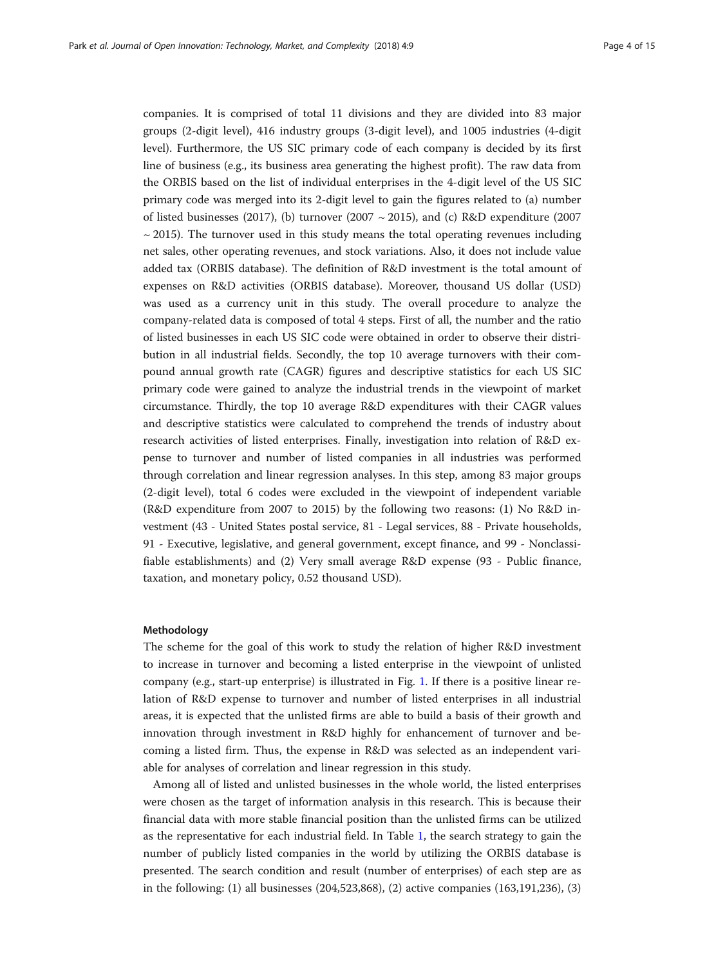companies. It is comprised of total 11 divisions and they are divided into 83 major groups (2-digit level), 416 industry groups (3-digit level), and 1005 industries (4-digit level). Furthermore, the US SIC primary code of each company is decided by its first line of business (e.g., its business area generating the highest profit). The raw data from the ORBIS based on the list of individual enterprises in the 4-digit level of the US SIC primary code was merged into its 2-digit level to gain the figures related to (a) number of listed businesses (2017), (b) turnover (2007  $\sim$  2015), and (c) R&D expenditure (2007  $\sim$  2015). The turnover used in this study means the total operating revenues including net sales, other operating revenues, and stock variations. Also, it does not include value added tax (ORBIS database). The definition of R&D investment is the total amount of expenses on R&D activities (ORBIS database). Moreover, thousand US dollar (USD) was used as a currency unit in this study. The overall procedure to analyze the company-related data is composed of total 4 steps. First of all, the number and the ratio of listed businesses in each US SIC code were obtained in order to observe their distribution in all industrial fields. Secondly, the top 10 average turnovers with their compound annual growth rate (CAGR) figures and descriptive statistics for each US SIC primary code were gained to analyze the industrial trends in the viewpoint of market circumstance. Thirdly, the top 10 average R&D expenditures with their CAGR values and descriptive statistics were calculated to comprehend the trends of industry about research activities of listed enterprises. Finally, investigation into relation of R&D expense to turnover and number of listed companies in all industries was performed through correlation and linear regression analyses. In this step, among 83 major groups (2-digit level), total 6 codes were excluded in the viewpoint of independent variable (R&D expenditure from 2007 to 2015) by the following two reasons: (1) No R&D investment (43 - United States postal service, 81 - Legal services, 88 - Private households, 91 - Executive, legislative, and general government, except finance, and 99 - Nonclassifiable establishments) and (2) Very small average R&D expense (93 - Public finance, taxation, and monetary policy, 0.52 thousand USD).

### Methodology

The scheme for the goal of this work to study the relation of higher R&D investment to increase in turnover and becoming a listed enterprise in the viewpoint of unlisted company (e.g., start-up enterprise) is illustrated in Fig. [1](#page-4-0). If there is a positive linear relation of R&D expense to turnover and number of listed enterprises in all industrial areas, it is expected that the unlisted firms are able to build a basis of their growth and innovation through investment in R&D highly for enhancement of turnover and becoming a listed firm. Thus, the expense in R&D was selected as an independent variable for analyses of correlation and linear regression in this study.

Among all of listed and unlisted businesses in the whole world, the listed enterprises were chosen as the target of information analysis in this research. This is because their financial data with more stable financial position than the unlisted firms can be utilized as the representative for each industrial field. In Table [1](#page-4-0), the search strategy to gain the number of publicly listed companies in the world by utilizing the ORBIS database is presented. The search condition and result (number of enterprises) of each step are as in the following: (1) all businesses (204,523,868), (2) active companies (163,191,236), (3)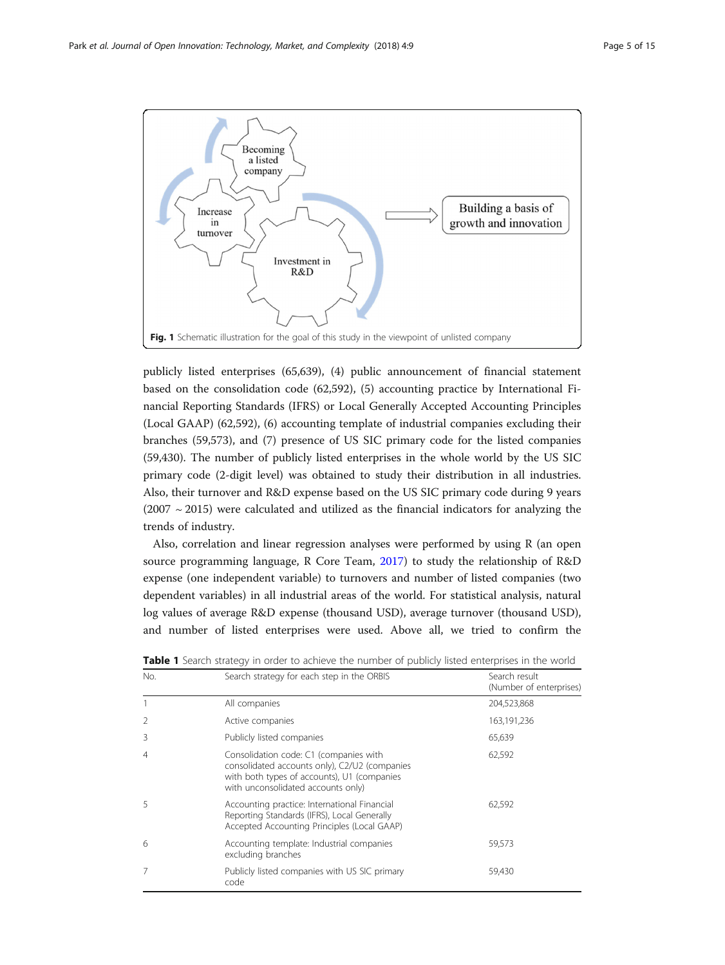<span id="page-4-0"></span>

publicly listed enterprises (65,639), (4) public announcement of financial statement based on the consolidation code (62,592), (5) accounting practice by International Financial Reporting Standards (IFRS) or Local Generally Accepted Accounting Principles (Local GAAP) (62,592), (6) accounting template of industrial companies excluding their branches (59,573), and (7) presence of US SIC primary code for the listed companies (59,430). The number of publicly listed enterprises in the whole world by the US SIC primary code (2-digit level) was obtained to study their distribution in all industries. Also, their turnover and R&D expense based on the US SIC primary code during 9 years  $(2007 \sim 2015)$  were calculated and utilized as the financial indicators for analyzing the trends of industry.

Also, correlation and linear regression analyses were performed by using R (an open source programming language, R Core Team, [2017\)](#page-14-0) to study the relationship of R&D expense (one independent variable) to turnovers and number of listed companies (two dependent variables) in all industrial areas of the world. For statistical analysis, natural log values of average R&D expense (thousand USD), average turnover (thousand USD), and number of listed enterprises were used. Above all, we tried to confirm the

| No. | Search strategy for each step in the ORBIS                                                                                                                                   | Search result<br>(Number of enterprises) |
|-----|------------------------------------------------------------------------------------------------------------------------------------------------------------------------------|------------------------------------------|
|     | All companies                                                                                                                                                                | 204,523,868                              |
|     | Active companies                                                                                                                                                             | 163, 191, 236                            |
| 3   | Publicly listed companies                                                                                                                                                    | 65,639                                   |
| 4   | Consolidation code: C1 (companies with<br>consolidated accounts only), C2/U2 (companies<br>with both types of accounts), U1 (companies<br>with unconsolidated accounts only) | 62,592                                   |
| 5   | Accounting practice: International Financial<br>Reporting Standards (IFRS), Local Generally<br>Accepted Accounting Principles (Local GAAP)                                   | 62,592                                   |
| 6   | Accounting template: Industrial companies<br>excluding branches                                                                                                              | 59,573                                   |
|     | Publicly listed companies with US SIC primary<br>code                                                                                                                        | 59,430                                   |

Table 1 Search strategy in order to achieve the number of publicly listed enterprises in the world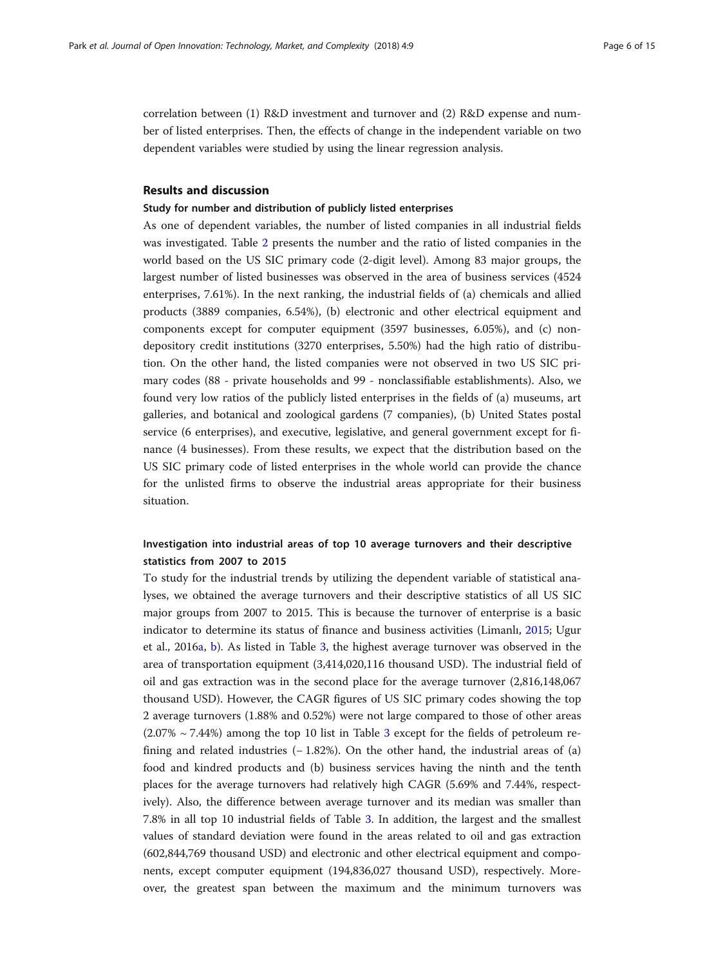correlation between (1) R&D investment and turnover and (2) R&D expense and number of listed enterprises. Then, the effects of change in the independent variable on two dependent variables were studied by using the linear regression analysis.

## Results and discussion

### Study for number and distribution of publicly listed enterprises

As one of dependent variables, the number of listed companies in all industrial fields was investigated. Table [2](#page-6-0) presents the number and the ratio of listed companies in the world based on the US SIC primary code (2-digit level). Among 83 major groups, the largest number of listed businesses was observed in the area of business services (4524 enterprises, 7.61%). In the next ranking, the industrial fields of (a) chemicals and allied products (3889 companies, 6.54%), (b) electronic and other electrical equipment and components except for computer equipment (3597 businesses, 6.05%), and (c) nondepository credit institutions (3270 enterprises, 5.50%) had the high ratio of distribution. On the other hand, the listed companies were not observed in two US SIC primary codes (88 - private households and 99 - nonclassifiable establishments). Also, we found very low ratios of the publicly listed enterprises in the fields of (a) museums, art galleries, and botanical and zoological gardens (7 companies), (b) United States postal service (6 enterprises), and executive, legislative, and general government except for finance (4 businesses). From these results, we expect that the distribution based on the US SIC primary code of listed enterprises in the whole world can provide the chance for the unlisted firms to observe the industrial areas appropriate for their business situation.

## Investigation into industrial areas of top 10 average turnovers and their descriptive statistics from 2007 to 2015

To study for the industrial trends by utilizing the dependent variable of statistical analyses, we obtained the average turnovers and their descriptive statistics of all US SIC major groups from 2007 to 2015. This is because the turnover of enterprise is a basic indicator to determine its status of finance and business activities (Limanlı, [2015](#page-14-0); Ugur et al., 2016[a](#page-14-0), [b](#page-14-0)). As listed in Table [3,](#page-9-0) the highest average turnover was observed in the area of transportation equipment (3,414,020,116 thousand USD). The industrial field of oil and gas extraction was in the second place for the average turnover (2,816,148,067 thousand USD). However, the CAGR figures of US SIC primary codes showing the top 2 average turnovers (1.88% and 0.52%) were not large compared to those of other areas  $(2.07\% \sim 7.44\%)$  among the top 10 list in Table [3](#page-9-0) except for the fields of petroleum refining and related industries  $(-1.82\%)$ . On the other hand, the industrial areas of (a) food and kindred products and (b) business services having the ninth and the tenth places for the average turnovers had relatively high CAGR (5.69% and 7.44%, respectively). Also, the difference between average turnover and its median was smaller than 7.8% in all top 10 industrial fields of Table [3](#page-9-0). In addition, the largest and the smallest values of standard deviation were found in the areas related to oil and gas extraction (602,844,769 thousand USD) and electronic and other electrical equipment and components, except computer equipment (194,836,027 thousand USD), respectively. Moreover, the greatest span between the maximum and the minimum turnovers was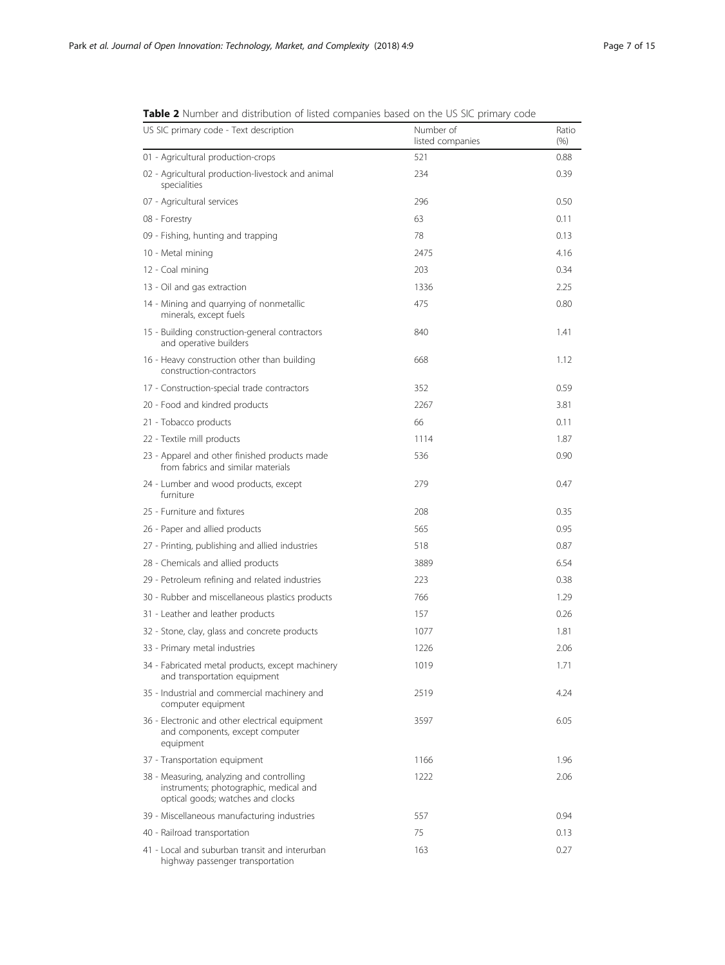| <b>TWHE E</b> Trainiber and distribution or insteal companies based on the 03 Sic primary code                           |                               |               |
|--------------------------------------------------------------------------------------------------------------------------|-------------------------------|---------------|
| US SIC primary code - Text description                                                                                   | Number of<br>listed companies | Ratio<br>(% ) |
| 01 - Agricultural production-crops                                                                                       | 521                           | 0.88          |
| 02 - Agricultural production-livestock and animal<br>specialities                                                        | 234                           | 0.39          |
| 07 - Agricultural services                                                                                               | 296                           | 0.50          |
| 08 - Forestry                                                                                                            | 63                            | 0.11          |
| 09 - Fishing, hunting and trapping                                                                                       | 78                            | 0.13          |
| 10 - Metal mining                                                                                                        | 2475                          | 4.16          |
| 12 - Coal mining                                                                                                         | 203                           | 0.34          |
| 13 - Oil and gas extraction                                                                                              | 1336                          | 2.25          |
| 14 - Mining and quarrying of nonmetallic<br>minerals, except fuels                                                       | 475                           | 0.80          |
| 15 - Building construction-general contractors<br>and operative builders                                                 | 840                           | 1.41          |
| 16 - Heavy construction other than building<br>construction-contractors                                                  | 668                           | 1.12          |
| 17 - Construction-special trade contractors                                                                              | 352                           | 0.59          |
| 20 - Food and kindred products                                                                                           | 2267                          | 3.81          |
| 21 - Tobacco products                                                                                                    | 66                            | 0.11          |
| 22 - Textile mill products                                                                                               | 1114                          | 1.87          |
| 23 - Apparel and other finished products made<br>from fabrics and similar materials                                      | 536                           | 0.90          |
| 24 - Lumber and wood products, except<br>furniture                                                                       | 279                           | 0.47          |
| 25 - Furniture and fixtures                                                                                              | 208                           | 0.35          |
| 26 - Paper and allied products                                                                                           | 565                           | 0.95          |
| 27 - Printing, publishing and allied industries                                                                          | 518                           | 0.87          |
| 28 - Chemicals and allied products                                                                                       | 3889                          | 6.54          |
| 29 - Petroleum refining and related industries                                                                           | 223                           | 0.38          |
| 30 - Rubber and miscellaneous plastics products                                                                          | 766                           | 1.29          |
| 31 - Leather and leather products                                                                                        | 157                           | 0.26          |
| 32 - Stone, clay, glass and concrete products                                                                            | 1077                          | 1.81          |
| 33 - Primary metal industries                                                                                            | 1226                          | 2.06          |
| 34 - Fabricated metal products, except machinery<br>and transportation equipment                                         | 1019                          | 1.71          |
| 35 - Industrial and commercial machinery and<br>computer equipment                                                       | 2519                          | 4.24          |
| 36 - Electronic and other electrical equipment<br>and components, except computer<br>equipment                           | 3597                          | 6.05          |
| 37 - Transportation equipment                                                                                            | 1166                          | 1.96          |
| 38 - Measuring, analyzing and controlling<br>instruments; photographic, medical and<br>optical goods; watches and clocks | 1222                          | 2.06          |
| 39 - Miscellaneous manufacturing industries                                                                              | 557                           | 0.94          |
| 40 - Railroad transportation                                                                                             | 75                            | 0.13          |
| 41 - Local and suburban transit and interurban<br>highway passenger transportation                                       | 163                           | 0.27          |

<span id="page-6-0"></span>Table 2 Number and distribution of listed companies based on the US SIC primary code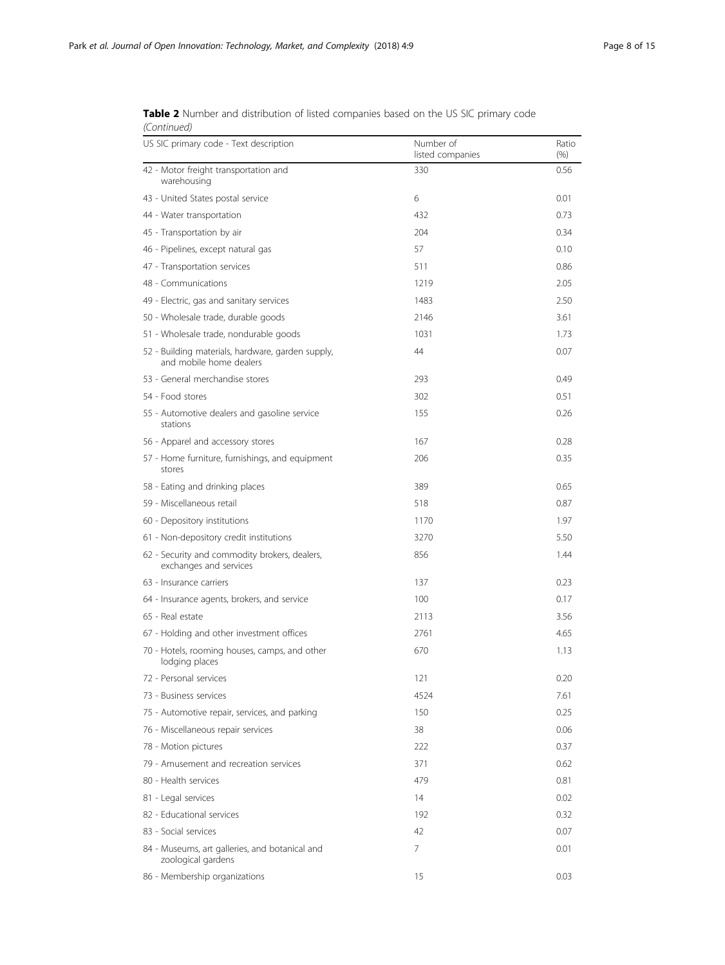| US SIC primary code - Text description                                       | Number of<br>listed companies | Ratio<br>$(\% )$ |
|------------------------------------------------------------------------------|-------------------------------|------------------|
| 42 - Motor freight transportation and<br>warehousing                         | 330                           | 0.56             |
| 43 - United States postal service                                            | 6                             | 0.01             |
| 44 - Water transportation                                                    | 432                           | 0.73             |
| 45 - Transportation by air                                                   | 204                           | 0.34             |
| 46 - Pipelines, except natural gas                                           | 57                            | 0.10             |
| 47 - Transportation services                                                 | 511                           | 0.86             |
| 48 - Communications                                                          | 1219                          | 2.05             |
| 49 - Electric, gas and sanitary services                                     | 1483                          | 2.50             |
| 50 - Wholesale trade, durable goods                                          | 2146                          | 3.61             |
| 51 - Wholesale trade, nondurable goods                                       | 1031                          | 1.73             |
| 52 - Building materials, hardware, garden supply,<br>and mobile home dealers | 44                            | 0.07             |
| 53 - General merchandise stores                                              | 293                           | 0.49             |
| 54 - Food stores                                                             | 302                           | 0.51             |
| 55 - Automotive dealers and gasoline service<br>stations                     | 155                           | 0.26             |
| 56 - Apparel and accessory stores                                            | 167                           | 0.28             |
| 57 - Home furniture, furnishings, and equipment<br>stores                    | 206                           | 0.35             |
| 58 - Eating and drinking places                                              | 389                           | 0.65             |
| 59 - Miscellaneous retail                                                    | 518                           | 0.87             |
| 60 - Depository institutions                                                 | 1170                          | 1.97             |
| 61 - Non-depository credit institutions                                      | 3270                          | 5.50             |
| 62 - Security and commodity brokers, dealers,<br>exchanges and services      | 856                           | 1.44             |
| 63 - Insurance carriers                                                      | 137                           | 0.23             |
| 64 - Insurance agents, brokers, and service                                  | 100                           | 0.17             |
| 65 - Real estate                                                             | 2113                          | 3.56             |
| 67 - Holding and other investment offices                                    | 2761                          | 4.65             |
| 70 - Hotels, rooming houses, camps, and other<br>lodging places              | 670                           | 1.13             |
| 72 - Personal services                                                       | 121                           | 0.20             |
| 73 - Business services                                                       | 4524                          | 7.61             |
| 75 - Automotive repair, services, and parking                                | 150                           | 0.25             |
| 76 - Miscellaneous repair services                                           | 38                            | 0.06             |
| 78 - Motion pictures                                                         | 222                           | 0.37             |
| 79 - Amusement and recreation services                                       | 371                           | 0.62             |
| 80 - Health services                                                         | 479                           | 0.81             |
| 81 - Legal services                                                          | 14                            | 0.02             |
| 82 - Educational services                                                    | 192                           | 0.32             |
| 83 - Social services                                                         | 42                            | 0.07             |
| 84 - Museums, art galleries, and botanical and<br>zoological gardens         | 7                             | 0.01             |
| 86 - Membership organizations                                                | 15                            | 0.03             |

Table 2 Number and distribution of listed companies based on the US SIC primary code (Continued)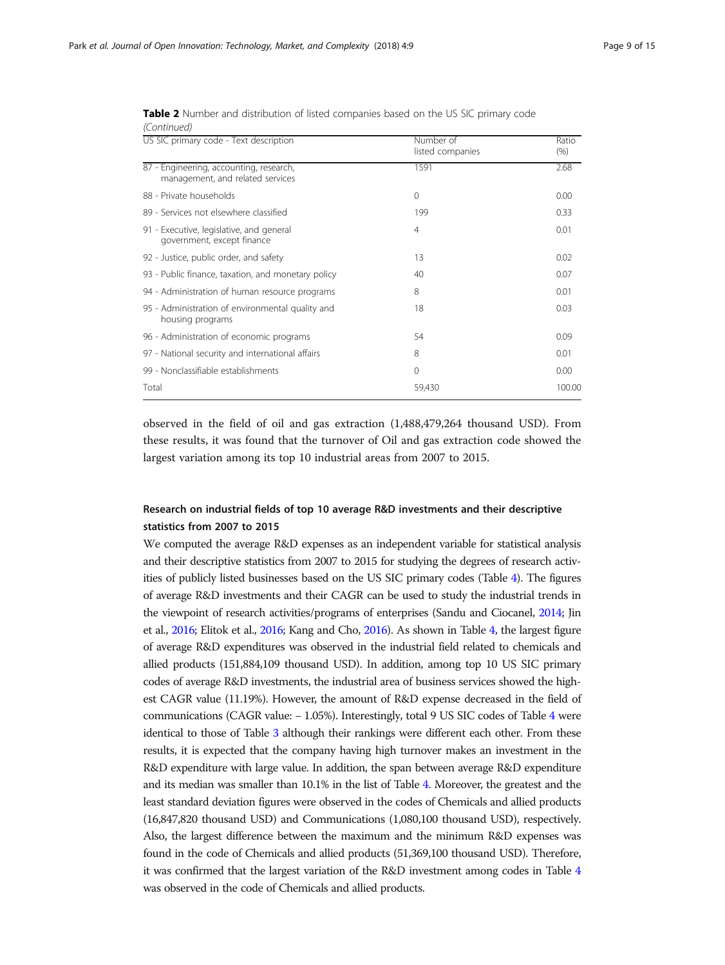| US SIC primary code - Text description                                      | Number of<br>listed companies | Ratio<br>(% ) |
|-----------------------------------------------------------------------------|-------------------------------|---------------|
| 87 - Engineering, accounting, research,<br>management, and related services | 1591                          | 2.68          |
| 88 - Private households                                                     | $\mathbf{0}$                  | 0.00          |
| 89 - Services not elsewhere classified                                      | 199                           | 0.33          |
| 91 - Executive, legislative, and general<br>government, except finance      | $\overline{4}$                | 0.01          |
| 92 - Justice, public order, and safety                                      | 13                            | 0.02          |
| 93 - Public finance, taxation, and monetary policy                          | 40                            | 0.07          |
| 94 - Administration of human resource programs                              | 8                             | 0.01          |
| 95 - Administration of environmental quality and<br>housing programs        | 18                            | 0.03          |
| 96 - Administration of economic programs                                    | 54                            | 0.09          |
| 97 - National security and international affairs                            | 8                             | 0.01          |
| 99 - Nonclassifiable establishments                                         | $\mathbf{0}$                  | 0.00          |
| Total                                                                       | 59,430                        | 100.00        |

Table 2 Number and distribution of listed companies based on the US SIC primary code (Continued)

observed in the field of oil and gas extraction (1,488,479,264 thousand USD). From these results, it was found that the turnover of Oil and gas extraction code showed the largest variation among its top 10 industrial areas from 2007 to 2015.

## Research on industrial fields of top 10 average R&D investments and their descriptive statistics from 2007 to 2015

We computed the average R&D expenses as an independent variable for statistical analysis and their descriptive statistics from 2007 to 2015 for studying the degrees of research activities of publicly listed businesses based on the US SIC primary codes (Table [4\)](#page-10-0). The figures of average R&D investments and their CAGR can be used to study the industrial trends in the viewpoint of research activities/programs of enterprises (Sandu and Ciocanel, [2014;](#page-14-0) Jin et al., [2016;](#page-14-0) Elitok et al., [2016;](#page-13-0) Kang and Cho, [2016](#page-14-0)). As shown in Table [4,](#page-10-0) the largest figure of average R&D expenditures was observed in the industrial field related to chemicals and allied products (151,884,109 thousand USD). In addition, among top 10 US SIC primary codes of average R&D investments, the industrial area of business services showed the highest CAGR value (11.19%). However, the amount of R&D expense decreased in the field of communications (CAGR value: − 1.05%). Interestingly, total 9 US SIC codes of Table [4](#page-10-0) were identical to those of Table [3](#page-9-0) although their rankings were different each other. From these results, it is expected that the company having high turnover makes an investment in the R&D expenditure with large value. In addition, the span between average R&D expenditure and its median was smaller than 10.1% in the list of Table [4](#page-10-0). Moreover, the greatest and the least standard deviation figures were observed in the codes of Chemicals and allied products (16,847,820 thousand USD) and Communications (1,080,100 thousand USD), respectively. Also, the largest difference between the maximum and the minimum R&D expenses was found in the code of Chemicals and allied products (51,369,100 thousand USD). Therefore, it was confirmed that the largest variation of the R&D investment among codes in Table [4](#page-10-0) was observed in the code of Chemicals and allied products.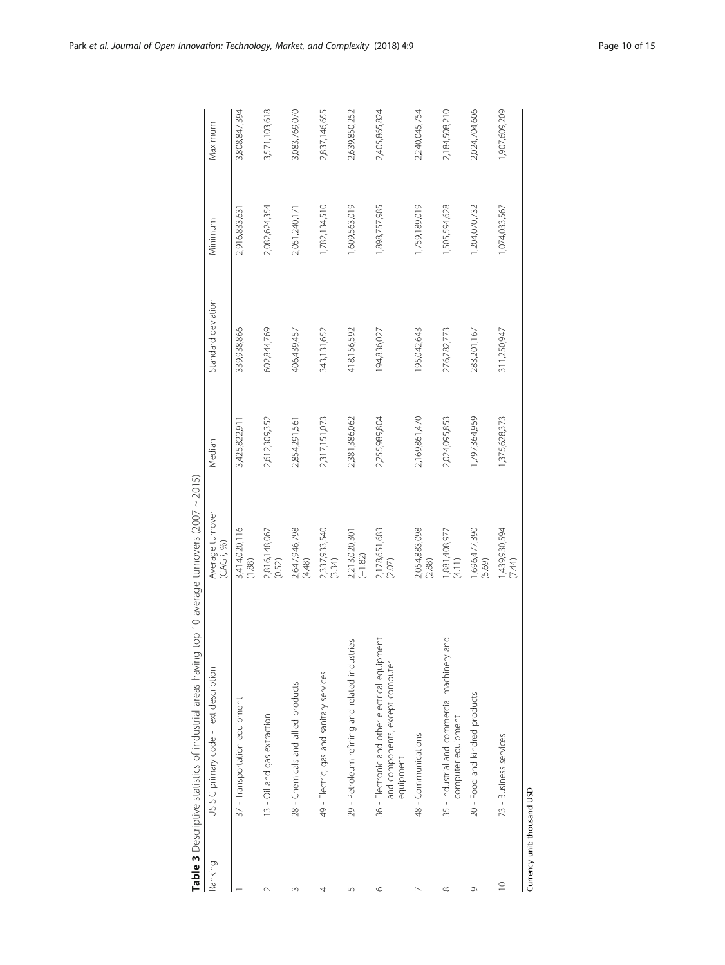<span id="page-9-0"></span>

|             | Table 3 Descriptive statistics of industrial areas having                                      | top 10 average turnovers (2007 $\sim$ 2015) |               |                    |               |               |
|-------------|------------------------------------------------------------------------------------------------|---------------------------------------------|---------------|--------------------|---------------|---------------|
| Ranking     | US SIC primary code - Text description                                                         | Average turnover<br>(CAGR, %)               | Median        | Standard deviation | Minimum       | Maximum       |
|             | 37 - Transportation equipment                                                                  | 3,414,020,116<br>(1.88)                     | 3,425,822,91  | 339,938,866        | 2,916,833,631 | 3,808,847,394 |
| $\sim$      | 13 - Oil and gas extraction                                                                    | 2,816,148,067<br>(0.52)                     | 2,612,309,352 | 602,844,769        | 2,082,624,354 | 3,571,103,618 |
| 3           | 28 - Chemicals and allied products                                                             | 2,647,946,798<br>(4.48)                     | 2,854,291,561 | 406,439,457        | 2,051,240,171 | 3,083,769,070 |
|             | 49 - Electric, gas and sanitary services                                                       | 2,337,933,540<br>(3.34)                     | 2,317,151,073 | 343,131,652        | 1,782,134,510 | 2,837,146,655 |
| 5           | 29 - Petroleum refining and related industries                                                 | 2,213,020,301<br>(-1.82)                    | 2,381,386,062 | 418,156,592        | 1,609,563,019 | 2,639,850,252 |
| $\circ$     | 36 - Electronic and other electrical equipment<br>and components, except computer<br>equipment | 2,178,651,683<br>(2.07)                     | 2,255,989,804 | 194,836,027        | 1,898,757,985 | 2,405,865,824 |
|             | 48 - Communications                                                                            | 2,054,883,098<br>(2.88)                     | 2,169,861,470 | 195,042,643        | 1,759,189,019 | 2,240,045,754 |
| $\infty$    | 35 - Industrial and commercial machinery and<br>computer equipment                             | 1,881,408,977<br>(4.11)                     | 2,024,095,853 | 276,782,773        | 1,505,594,628 | 2,184,508,210 |
| $\circ$     | 20 - Food and kindred products                                                                 | 1,696,477,390<br>(5.69)                     | 1,797,364,959 | 283,201,167        | 1,204,070,732 | 2,024,704,606 |
| $\supseteq$ | 73 - Business services                                                                         | 1,439,930,594<br>(7.44)                     | 1,375,628,373 | 311,250,947        | 1,074,033,567 | 1,907,609,209 |
|             |                                                                                                |                                             |               |                    |               |               |

Currency unit: thousand USD Currency unit: thousand USD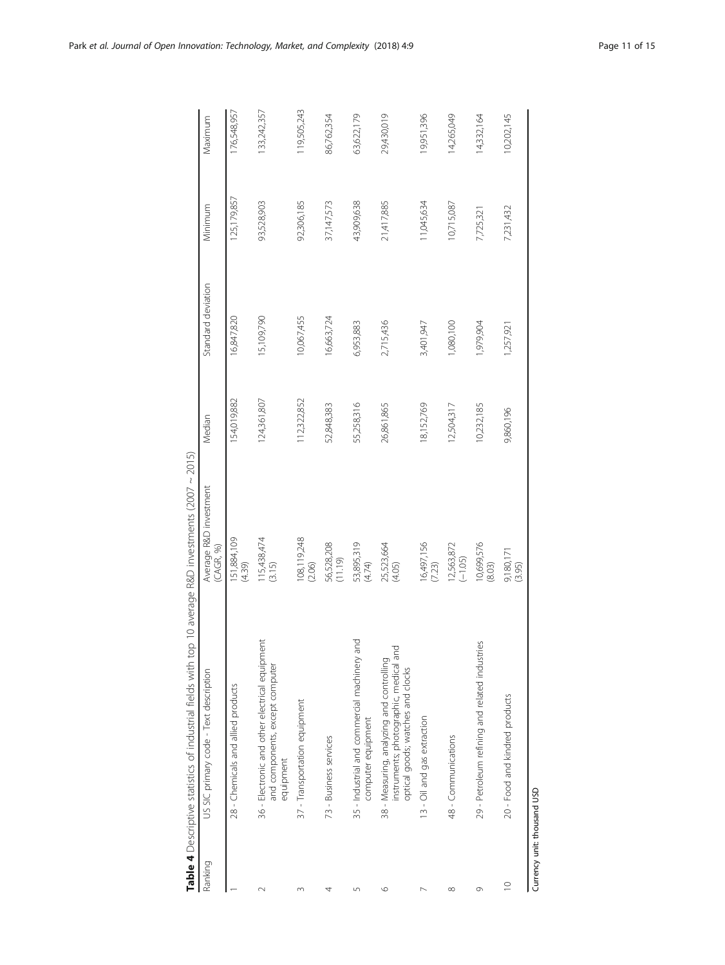<span id="page-10-0"></span>

|           | Table 4 Descriptive statistics of industrial fields with top 10 average R&D investments (2007 ~ 2015)                    |                                      |             |                    |               |             |
|-----------|--------------------------------------------------------------------------------------------------------------------------|--------------------------------------|-------------|--------------------|---------------|-------------|
| Ranking   | US SIC primary code - Text description                                                                                   | Average R&D investment<br>(CAGR, 96) | Median      | Standard deviation | Minimum       | Maximum     |
|           | 28 - Chemicals and allied products                                                                                       | 151,884,109<br>(4.39)                | 154,019,882 | 16,847,820         | 125, 179, 857 | 176,548,957 |
|           | 36 - Electronic and other electrical equipment<br>and components, except computer<br>equipment                           | 115,438,474<br>(3.15)                | 124,361,807 | 15,109,790         | 93,528,903    | 133,242,357 |
|           | 37 - Transportation equipment                                                                                            | 108,119,248<br>(2.06)                | 12,322,852  | 10,067,455         | 92,306,185    | 19,505,243  |
|           | 73 - Business services                                                                                                   | 56,528,208<br>(11.19)                | 52,848,383  | 16,663,724         | 37,147,573    | 86,762,354  |
| Ľn        | pue<br>Pue<br>35 - Industrial and commercial machinery<br>computer equipment                                             | 53,895,319<br>(4.74)                 | 55,258,316  | 6,953,883          | 43,909,638    | 63,622,179  |
| ١C        | instruments; photographic, medical and<br>38 - Measuring, analyzing and controlling<br>optical goods; watches and clocks | 25,523,664<br>(4.05)                 | 26,861,865  | 2,715,436          | 21,417,885    | 29,430,019  |
|           | 13 - Oil and gas extraction                                                                                              | 16,497,156<br>(7.23)                 | 18,152,769  | 3,401,947          | 1,045,634     | 19,951,396  |
| $\infty$  | 48 - Communications                                                                                                      | 12,563,872<br>$(-1.05)$              | 12,504,317  | 1,080,100          | 10,715,087    | 14,265,049  |
| Ō         | jes<br>29 - Petroleum refining and related industr                                                                       | 10,699,576<br>(8.03)                 | 10,232,185  | 1,979,904          | 7,725,321     | 14,332,164  |
| $\approx$ | 20 - Food and kindred products                                                                                           | 9,180,171<br>(3.95)                  | 9,860,196   | 1,257,921          | 7,231,432     | 10,202,145  |

Currency unit: thousand USD

Currency unit: thousand USD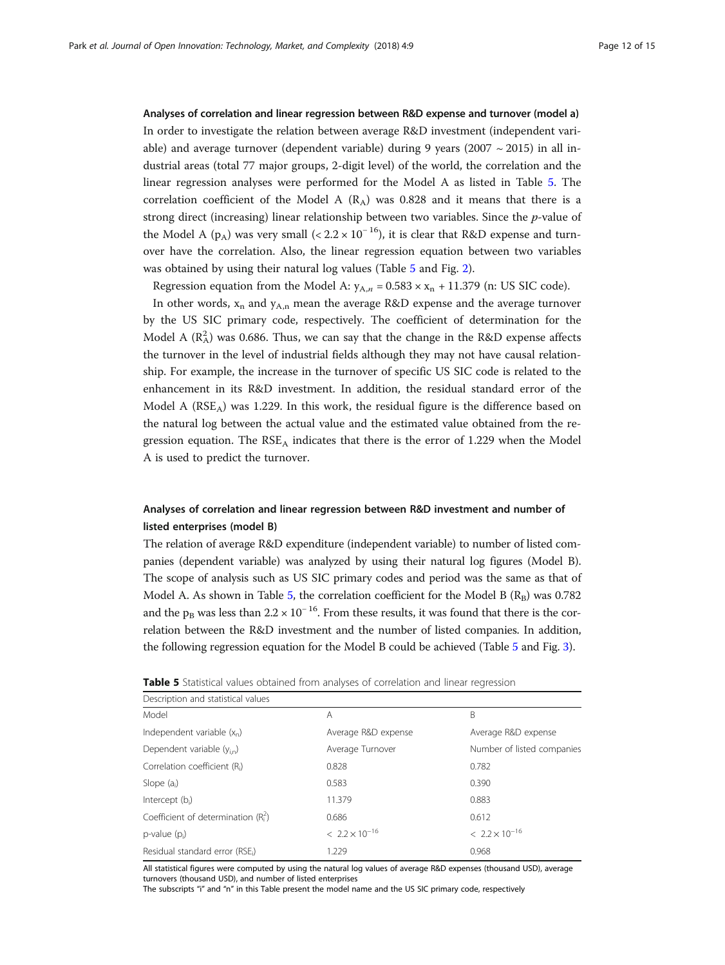Analyses of correlation and linear regression between R&D expense and turnover (model a) In order to investigate the relation between average R&D investment (independent variable) and average turnover (dependent variable) during 9 years (2007  $\sim$  2015) in all industrial areas (total 77 major groups, 2-digit level) of the world, the correlation and the linear regression analyses were performed for the Model A as listed in Table 5. The correlation coefficient of the Model A  $(R_A)$  was 0.828 and it means that there is a strong direct (increasing) linear relationship between two variables. Since the p-value of the Model A (p<sub>A</sub>) was very small (<  $2.2 \times 10^{-16}$ ), it is clear that R&D expense and turnover have the correlation. Also, the linear regression equation between two variables was obtained by using their natural log values (Table 5 and Fig. [2\)](#page-12-0).

Regression equation from the Model A:  $y_{A,n} = 0.583 \times x_n + 11.379$  (n: US SIC code).

In other words,  $x_n$  and  $y_{A,n}$  mean the average R&D expense and the average turnover by the US SIC primary code, respectively. The coefficient of determination for the Model A  $(R_A^2)$  was 0.686. Thus, we can say that the change in the R&D expense affects the turnover in the level of industrial fields although they may not have causal relationship. For example, the increase in the turnover of specific US SIC code is related to the enhancement in its R&D investment. In addition, the residual standard error of the Model A ( $RSE_A$ ) was 1.229. In this work, the residual figure is the difference based on the natural log between the actual value and the estimated value obtained from the regression equation. The  $RSE<sub>A</sub>$  indicates that there is the error of 1.229 when the Model A is used to predict the turnover.

## Analyses of correlation and linear regression between R&D investment and number of listed enterprises (model B)

The relation of average R&D expenditure (independent variable) to number of listed companies (dependent variable) was analyzed by using their natural log figures (Model B). The scope of analysis such as US SIC primary codes and period was the same as that of Model A. As shown in Table 5, the correlation coefficient for the Model B  $(R_B)$  was 0.782 and the p<sub>B</sub> was less than  $2.2 \times 10^{-16}$ . From these results, it was found that there is the correlation between the R&D investment and the number of listed companies. In addition, the following regression equation for the Model B could be achieved (Table 5 and Fig. [3\)](#page-12-0).

| Description and statistical values        |                         |                            |
|-------------------------------------------|-------------------------|----------------------------|
| Model                                     | A                       | B                          |
| Independent variable $(x_n)$              | Average R&D expense     | Average R&D expense        |
| Dependent variable $(y_{in})$             | Average Turnover        | Number of listed companies |
| Correlation coefficient (R <sub>i</sub> ) | 0.828                   | 0.782                      |
| Slope $(a_i)$                             | 0.583                   | 0.390                      |
| Intercept $(b_i)$                         | 11.379                  | 0.883                      |
| Coefficient of determination $(R_i^2)$    | 0.686                   | 0.612                      |
| $p$ -value $(p_i)$                        | $< 2.2 \times 10^{-16}$ | $< 2.2 \times 10^{-16}$    |
| Residual standard error (RSE;)            | 1.229                   | 0.968                      |

Table 5 Statistical values obtained from analyses of correlation and linear regression

All statistical figures were computed by using the natural log values of average R&D expenses (thousand USD), average turnovers (thousand USD), and number of listed enterprises

The subscripts "i" and "n" in this Table present the model name and the US SIC primary code, respectively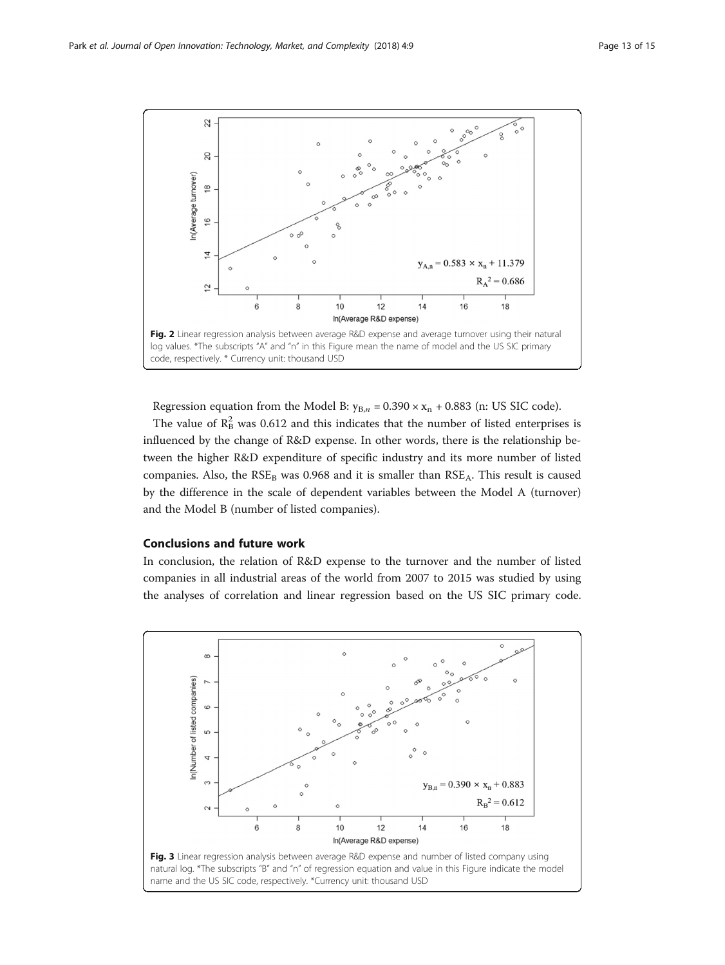<span id="page-12-0"></span>

Regression equation from the Model B:  $y_{B,n} = 0.390 \times x_n + 0.883$  (n: US SIC code).

The value of  $\mathbb{R}^2$  was 0.612 and this indicates that the number of listed enterprises is influenced by the change of R&D expense. In other words, there is the relationship between the higher R&D expenditure of specific industry and its more number of listed companies. Also, the  $RSE<sub>B</sub>$  was 0.968 and it is smaller than  $RSE<sub>A</sub>$ . This result is caused by the difference in the scale of dependent variables between the Model A (turnover) and the Model B (number of listed companies).

## Conclusions and future work

In conclusion, the relation of R&D expense to the turnover and the number of listed companies in all industrial areas of the world from 2007 to 2015 was studied by using the analyses of correlation and linear regression based on the US SIC primary code.

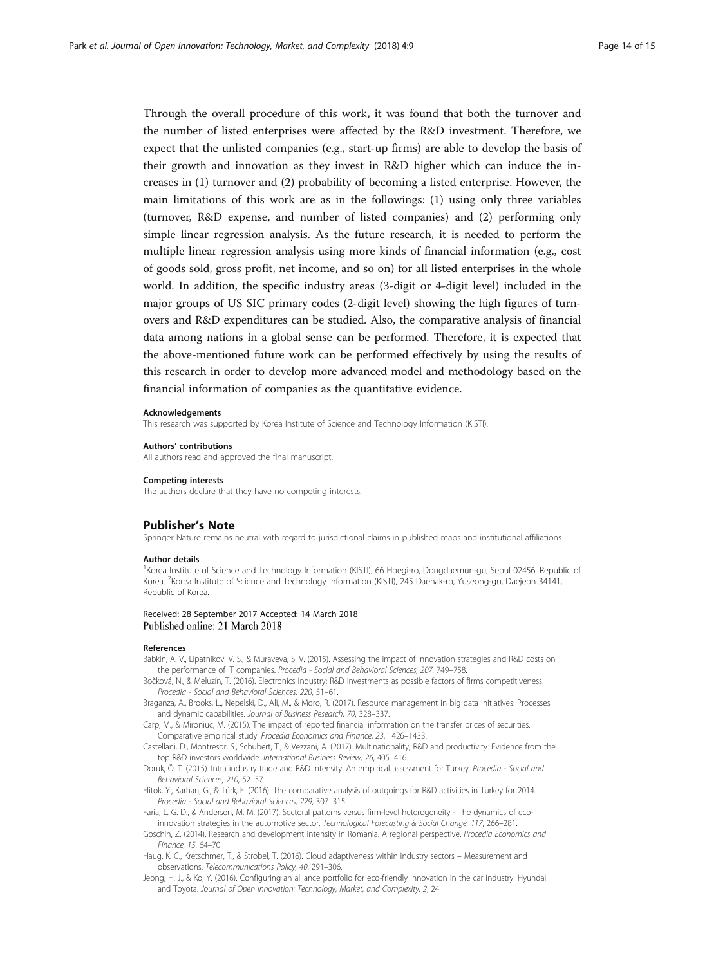<span id="page-13-0"></span>Through the overall procedure of this work, it was found that both the turnover and the number of listed enterprises were affected by the R&D investment. Therefore, we expect that the unlisted companies (e.g., start-up firms) are able to develop the basis of their growth and innovation as they invest in R&D higher which can induce the increases in (1) turnover and (2) probability of becoming a listed enterprise. However, the main limitations of this work are as in the followings: (1) using only three variables (turnover, R&D expense, and number of listed companies) and (2) performing only simple linear regression analysis. As the future research, it is needed to perform the multiple linear regression analysis using more kinds of financial information (e.g., cost of goods sold, gross profit, net income, and so on) for all listed enterprises in the whole world. In addition, the specific industry areas (3-digit or 4-digit level) included in the major groups of US SIC primary codes (2-digit level) showing the high figures of turnovers and R&D expenditures can be studied. Also, the comparative analysis of financial data among nations in a global sense can be performed. Therefore, it is expected that the above-mentioned future work can be performed effectively by using the results of this research in order to develop more advanced model and methodology based on the financial information of companies as the quantitative evidence.

#### Acknowledgements

This research was supported by Korea Institute of Science and Technology Information (KISTI).

#### Authors' contributions

All authors read and approved the final manuscript.

#### Competing interests

The authors declare that they have no competing interests.

## Publisher's Note

Springer Nature remains neutral with regard to jurisdictional claims in published maps and institutional affiliations.

#### Author details

<sup>1</sup>Korea Institute of Science and Technology Information (KISTI), 66 Hoegi-ro, Dongdaemun-gu, Seoul 02456, Republic of Korea. <sup>2</sup>Korea Institute of Science and Technology Information (KISTI), 245 Daehak-ro, Yuseong-gu, Daejeon 34141, Republic of Korea.

#### Received: 28 September 2017 Accepted: 14 March 2018 Published online: 21 March 2018

#### References

- Babkin, A. V., Lipatnikov, V. S., & Muraveva, S. V. (2015). Assessing the impact of innovation strategies and R&D costs on the performance of IT companies. Procedia - Social and Behavioral Sciences, 207, 749–758.
- Bočková, N., & Meluzín, T. (2016). Electronics industry: R&D investments as possible factors of firms competitiveness. Procedia - Social and Behavioral Sciences, 220, 51–61.
- Braganza, A., Brooks, L., Nepelski, D., Ali, M., & Moro, R. (2017). Resource management in big data initiatives: Processes and dynamic capabilities. Journal of Business Research, 70, 328–337.
- Carp, M., & Mironiuc, M. (2015). The impact of reported financial information on the transfer prices of securities. Comparative empirical study. Procedia Economics and Finance, 23, 1426–1433.
- Castellani, D., Montresor, S., Schubert, T., & Vezzani, A. (2017). Multinationality, R&D and productivity: Evidence from the top R&D investors worldwide. International Business Review, 26, 405–416.
- Doruk, Ö. T. (2015). Intra industry trade and R&D intensity: An empirical assessment for Turkey. Procedia Social and Behavioral Sciences, 210, 52–57.
- Elitok, Y., Karhan, G., & Türk, E. (2016). The comparative analysis of outgoings for R&D activities in Turkey for 2014. Procedia - Social and Behavioral Sciences, 229, 307–315.
- Faria, L. G. D., & Andersen, M. M. (2017). Sectoral patterns versus firm-level heterogeneity The dynamics of ecoinnovation strategies in the automotive sector. Technological Forecasting & Social Change, 117, 266–281.
- Goschin, Z. (2014). Research and development intensity in Romania. A regional perspective. Procedia Economics and Finance, 15, 64–70.
- Haug, K. C., Kretschmer, T., & Strobel, T. (2016). Cloud adaptiveness within industry sectors Measurement and observations. Telecommunications Policy, 40, 291–306.
- Jeong, H. J., & Ko, Y. (2016). Configuring an alliance portfolio for eco-friendly innovation in the car industry: Hyundai and Toyota. Journal of Open Innovation: Technology, Market, and Complexity, 2, 24.